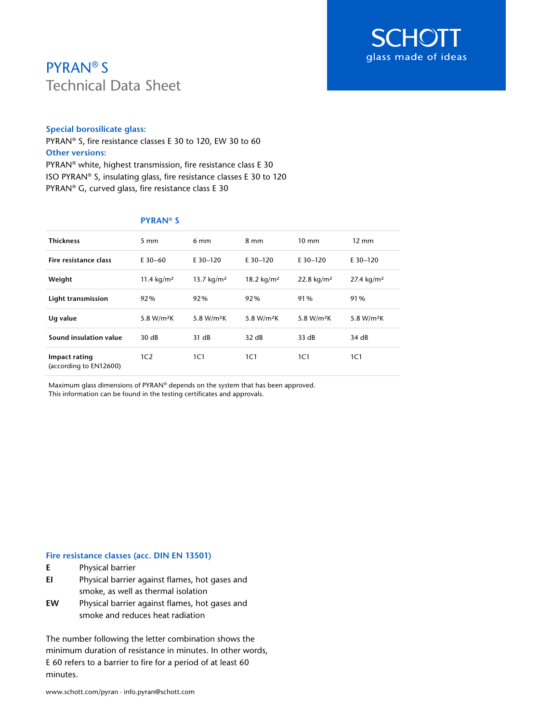

# PYRAN® S Technical Data Sheet

### **Special borosilicate glass:**

PYRAN® S, fire resistance classes E 30 to 120, EW 30 to 60 **Other versions:** PYRAN® white, highest transmission, fire resistance class E 30 ISO PYRAN® S, insulating glass, fire resistance classes E 30 to 120

PYRAN® G, curved glass, fire resistance class E 30

| <b>Thickness</b>                        | $5 \text{ mm}$         | $6 \text{ mm}$         | 8 mm                   | $10 \text{ mm}$        | $12 \text{ mm}$        |
|-----------------------------------------|------------------------|------------------------|------------------------|------------------------|------------------------|
| Fire resistance class                   | $E$ 30-60              | $E$ 30-120             | $E$ 30-120             | $E$ 30-120             | E 30-120               |
| Weight                                  | 11.4 $kg/m2$           | 13.7 $kg/m2$           | 18.2 $kg/m2$           | 22.8 kg/m <sup>2</sup> | 27.4 $kg/m2$           |
| Light transmission                      | 92%                    | 92%                    | 92%                    | 91%                    | 91%                    |
| Ug value                                | 5.8 W/m <sup>2</sup> K | 5.8 W/m <sup>2</sup> K | 5.8 W/m <sup>2</sup> K | 5.8 W/m <sup>2</sup> K | 5.8 W/m <sup>2</sup> K |
| Sound insulation value                  | 30 dB                  | 31 dB                  | 32 dB                  | 33 dB                  | 34 dB                  |
| Impact rating<br>(according to EN12600) | 1C <sub>2</sub>        | 1C1                    | 1C1                    | 1C1                    | 1C1                    |

## **PYRAN® S**

Maximum glass dimensions of PYRAN® depends on the system that has been approved. This information can be found in the testing certificates and approvals.

### **Fire resistance classes (acc. DIN EN 13501)**

- **E** Physical barrier
- **EI** Physical barrier against flames, hot gases and smoke, as well as thermal isolation
- **EW** Physical barrier against flames, hot gases and smoke and reduces heat radiation

The number following the letter combination shows the minimum duration of resistance in minutes. In other words, E 60 refers to a barrier to fire for a period of at least 60 minutes.